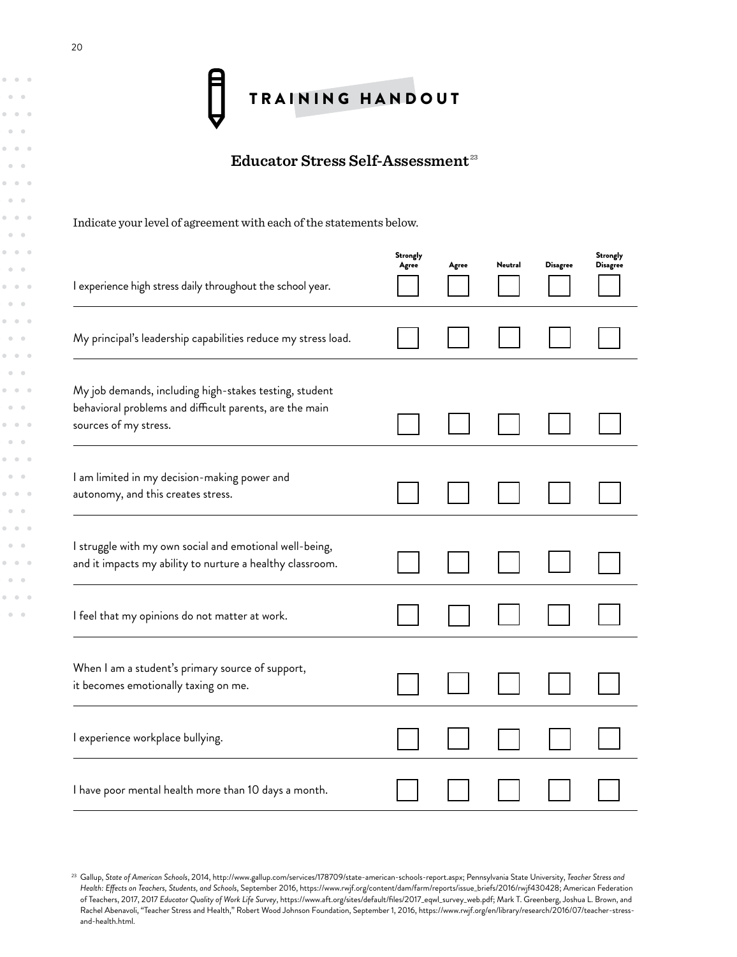

## **Educator Stress Self-Assessment** <sup>23</sup>

Indicate your level of agreement with each of the statements below.

| I experience high stress daily throughout the school year.                                                                                 | <b>Strongly</b><br>Agree | Agree | Neutral | <b>Disagree</b> | Strongly<br><b>Disagree</b> |
|--------------------------------------------------------------------------------------------------------------------------------------------|--------------------------|-------|---------|-----------------|-----------------------------|
| My principal's leadership capabilities reduce my stress load.                                                                              |                          |       |         |                 |                             |
| My job demands, including high-stakes testing, student<br>behavioral problems and difficult parents, are the main<br>sources of my stress. |                          |       |         |                 |                             |
| I am limited in my decision-making power and<br>autonomy, and this creates stress.                                                         |                          |       |         |                 |                             |
| I struggle with my own social and emotional well-being,<br>and it impacts my ability to nurture a healthy classroom.                       |                          |       |         |                 |                             |
| I feel that my opinions do not matter at work.                                                                                             |                          |       |         |                 |                             |
| When I am a student's primary source of support,<br>it becomes emotionally taxing on me.                                                   |                          |       |         |                 |                             |
| I experience workplace bullying.                                                                                                           |                          |       |         |                 |                             |
| I have poor mental health more than 10 days a month.                                                                                       |                          |       |         |                 |                             |

 $-1 - 1$  $\alpha=0$  $0 - 0 = 0$  $\alpha=0$  $-0.16$  $\alpha$  $\alpha$  $\sim$   $0 - 0 = 0$  $\sim$   $\alpha$  $0 - 0$  $\alpha$  $\alpha$  $\bullet$ **COLL**  $\bar{0}$  $-0.16$  $\alpha=0$  $\alpha$  $\sim$   $\alpha$  .  $-10 - 10$  $\alpha$  $\alpha=0$  $\alpha$  $\alpha$  $\alpha$  .  $\bullet$  $\alpha$  $\alpha = 0$  $\alpha=0$  $-10-10$ 

<sup>23</sup> Gallup, *State of American Schools*, 2014, http://www.gallup.com/services/178709/state-american-schools-report.aspx; Pennsylvania State University, *Teacher Stress and Health: Effects on Teachers, Students, and Schools*, September 2016, https://www.rwjf.org/content/dam/farm/reports/issue\_briefs/2016/rwjf430428; American Federation of Teachers, 2017, 2017 *Educator Quality of Work Life Survey*, https://www.aft.org/sites/default/files/2017\_eqwl\_survey\_web.pdf; Mark T. Greenberg, Joshua L. Brown, and Rachel Abenavoli, "Teacher Stress and Health," Robert Wood Johnson Foundation, September 1, 2016, https://www.rwjf.org/en/library/research/2016/07/teacher-stressand-health.html.